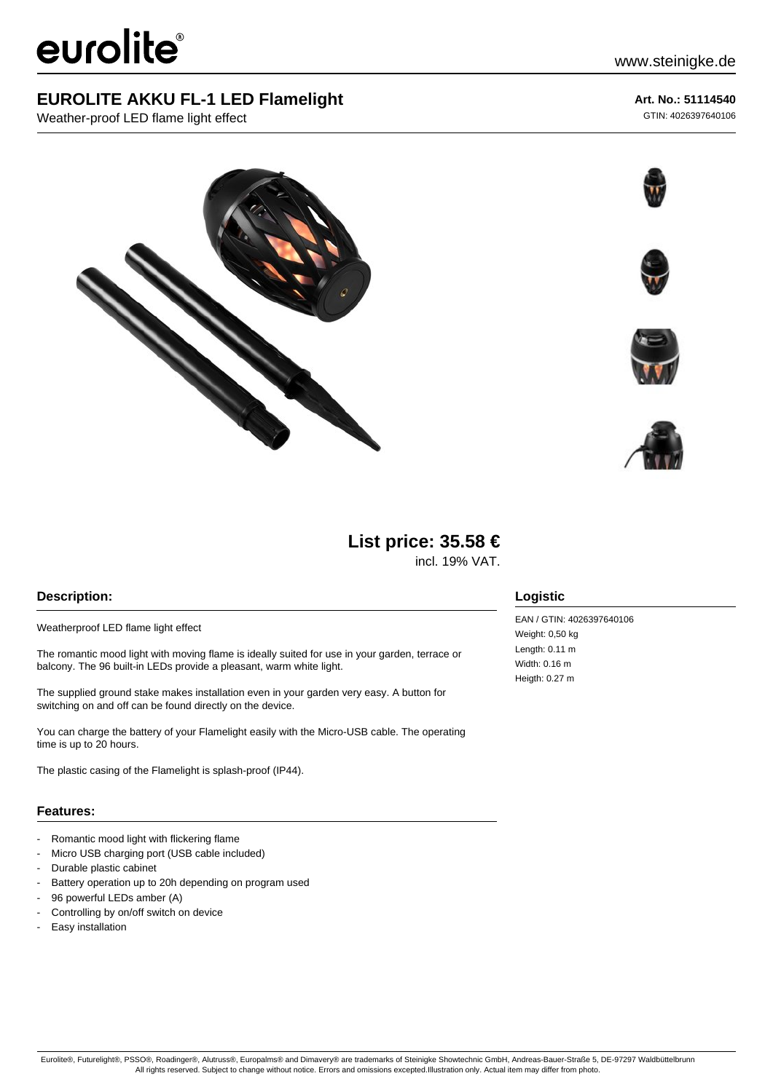# eurolite®

## **EUROLITE AKKU FL-1 LED Flamelight**

Weather-proof LED flame light effect

# **Art. No.: 51114540**

GTIN: 4026397640106







## **List price: 35.58 €**

incl. 19% VAT.

#### **Description:**

Weatherproof LED flame light effect

The romantic mood light with moving flame is ideally suited for use in your garden, terrace or balcony. The 96 built-in LEDs provide a pleasant, warm white light.

The supplied ground stake makes installation even in your garden very easy. A button for switching on and off can be found directly on the device.

You can charge the battery of your Flamelight easily with the Micro-USB cable. The operating time is up to 20 hours.

The plastic casing of the Flamelight is splash-proof (IP44).

#### **Features:**

- Romantic mood light with flickering flame
- Micro USB charging port (USB cable included)
- Durable plastic cabinet
- Battery operation up to 20h depending on program used
- 96 powerful LEDs amber (A)
- Controlling by on/off switch on device
- Easy installation

#### **Logistic**

EAN / GTIN: 4026397640106 Weight: 0,50 kg Length: 0.11 m Width: 0.16 m Heigth: 0.27 m

Eurolite®, Futurelight®, PSSO®, Roadinger®, Alutruss®, Europalms® and Dimavery® are trademarks of Steinigke Showtechnic GmbH, Andreas-Bauer-Straße 5, DE-97297 Waldbüttelbrunn All rights reserved. Subject to change without notice. Errors and omissions excepted.Illustration only. Actual item may differ from photo.